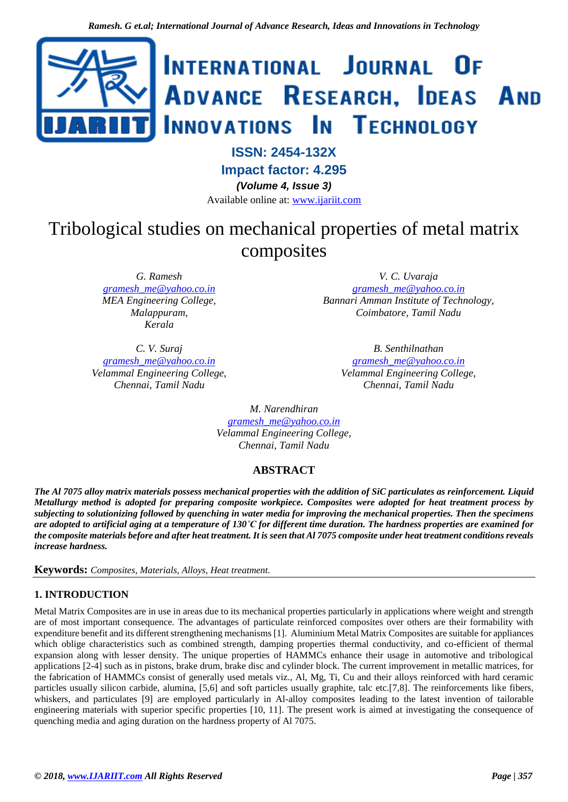

# **ISSN: 2454-132X**

**Impact factor: 4.295**

*(Volume 4, Issue 3)*

Available online at: [www.ijariit.com](https://www.ijariit.com/?utm_source=pdf&utm_medium=edition&utm_campaign=OmAkSols&utm_term=V4I3-1324)

# Tribological studies on mechanical properties of metal matrix composites

*G. Ramesh [gramesh\\_me@yahoo.co.in](mailto:gramesh_me@yahoo.co.in) MEA Engineering College, Malappuram, Kerala*

*C. V. Suraj [gramesh\\_me@yahoo.co.in](mailto:gramesh_me@yahoo.co.in) Velammal Engineering College, Chennai, Tamil Nadu*

*V. C. Uvaraja*

*[gramesh\\_me@yahoo.co.in](mailto:gramesh_me@yahoo.co.in) Bannari Amman Institute of Technology, Coimbatore, Tamil Nadu*

> *B. Senthilnathan [gramesh\\_me@yahoo.co.in](mailto:gramesh_me@yahoo.co.in) Velammal Engineering College, Chennai, Tamil Nadu*

*M. Narendhiran [gramesh\\_me@yahoo.co.in](mailto:gramesh_me@yahoo.co.in) Velammal Engineering College, Chennai, Tamil Nadu*

# **ABSTRACT**

*The Al 7075 alloy matrix materials possess mechanical properties with the addition of SiC particulates as reinforcement. Liquid Metallurgy method is adopted for preparing composite workpiece. Composites were adopted for heat treatment process by subjecting to solutionizing followed by quenching in water media for improving the mechanical properties. Then the specimens are adopted to artificial aging at a temperature of 130˚C for different time duration. The hardness properties are examined for the composite materials before and after heat treatment. It is seen that Al 7075 composite under heat treatment conditions reveals increase hardness.*

**Keywords:** *Composites, Materials, Alloys, Heat treatment.*

## **1. INTRODUCTION**

Metal Matrix Composites are in use in areas due to its mechanical properties particularly in applications where weight and strength are of most important consequence. The advantages of particulate reinforced composites over others are their formability with expenditure benefit and its different strengthening mechanisms [1]. Aluminium Metal Matrix Composites are suitable for appliances which oblige characteristics such as combined strength, damping properties thermal conductivity, and co-efficient of thermal expansion along with lesser density. The unique properties of HAMMCs enhance their usage in automotive and tribological applications [2-4] such as in pistons, brake drum, brake disc and cylinder block. The current improvement in metallic matrices, for the fabrication of HAMMCs consist of generally used metals viz., Al, Mg, Ti, Cu and their alloys reinforced with hard ceramic particles usually silicon carbide, alumina, [5,6] and soft particles usually graphite, talc etc.[7,8]. The reinforcements like fibers, whiskers, and particulates [9] are employed particularly in Al-alloy composites leading to the latest invention of tailorable engineering materials with superior specific properties [10, 11]. The present work is aimed at investigating the consequence of quenching media and aging duration on the hardness property of Al 7075.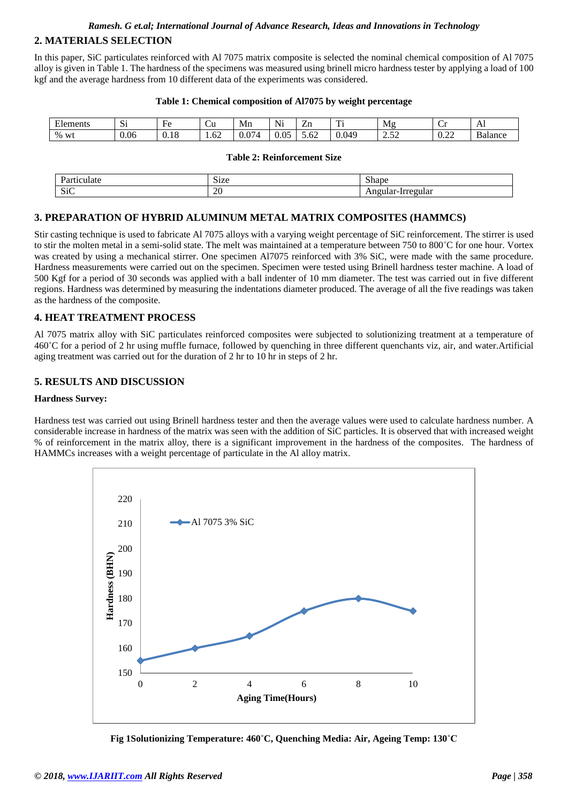#### *Ramesh. G et.al; International Journal of Advance Research, Ideas and Innovations in Technology*

#### **2. MATERIALS SELECTION**

In this paper, SiC particulates reinforced with Al 7075 matrix composite is selected the nominal chemical composition of Al 7075 alloy is given in Table 1. The hardness of the specimens was measured using brinell micro hardness tester by applying a load of 100 kgf and the average hardness from 10 different data of the experiments was considered.

| T1<br>Elements | $\sim$<br>ົບ⊥ | $\sim$<br>HΑ<br>⊥ ∪ | -<br>~u            | Mn                                  | $\mathbf{v}$<br>Ni.             | -<br>∠⊥⊥                                                                  | m.<br>. .         | Mφ               | -<br>$\tilde{}$        | $\mathbf{L}$      |
|----------------|---------------|---------------------|--------------------|-------------------------------------|---------------------------------|---------------------------------------------------------------------------|-------------------|------------------|------------------------|-------------------|
| $\%$<br>W      | 0.06          | .1c<br><b>v.iu</b>  | $\sqrt{2}$<br>1.02 | $\sim$<br>$\cdot$ $\prime$ $\prime$ | $\sim$<br>$\Omega$<br>.<br>v.v. | $\overline{\phantom{0}}$<br>$\overline{\phantom{a}}$<br>D. <sub>0</sub> 2 | 0.04 <sup>o</sup> | $\sim$<br>,,,,,, | $\sim$<br>$\mathbf{v}$ | $\sim$<br>Balance |

#### **Table 2: Reinforcement Size**

|               | $\sim$<br>170<br>ישוט<br>____ | $\sim$<br>50.0<br>$\cup$ liap   |
|---------------|-------------------------------|---------------------------------|
| $\sim$<br>51C | $\overline{f}$<br>ZU          | -------<br>.<br>.<br><br>$\sim$ |

#### **3. PREPARATION OF HYBRID ALUMINUM METAL MATRIX COMPOSITES (HAMMCS)**

Stir casting technique is used to fabricate Al 7075 alloys with a varying weight percentage of SiC reinforcement. The stirrer is used to stir the molten metal in a semi-solid state. The melt was maintained at a temperature between 750 to 800˚C for one hour. Vortex was created by using a mechanical stirrer. One specimen Al7075 reinforced with 3% SiC, were made with the same procedure. Hardness measurements were carried out on the specimen. Specimen were tested using Brinell hardness tester machine. A load of 500 Kgf for a period of 30 seconds was applied with a ball indenter of 10 mm diameter. The test was carried out in five different regions. Hardness was determined by measuring the indentations diameter produced. The average of all the five readings was taken as the hardness of the composite.

#### **4. HEAT TREATMENT PROCESS**

Al 7075 matrix alloy with SiC particulates reinforced composites were subjected to solutionizing treatment at a temperature of 460˚C for a period of 2 hr using muffle furnace, followed by quenching in three different quenchants viz, air, and water.Artificial aging treatment was carried out for the duration of 2 hr to 10 hr in steps of 2 hr.

## **5. RESULTS AND DISCUSSION**

#### **Hardness Survey:**

Hardness test was carried out using Brinell hardness tester and then the average values were used to calculate hardness number. A considerable increase in hardness of the matrix was seen with the addition of SiC particles. It is observed that with increased weight % of reinforcement in the matrix alloy, there is a significant improvement in the hardness of the composites. The hardness of HAMMCs increases with a weight percentage of particulate in the Al alloy matrix.